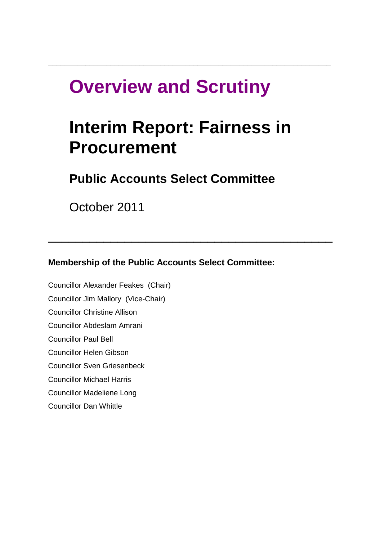# **Overview and Scrutiny**

# **Interim Report: Fairness in Procurement**

 $\overline{\phantom{a}}$  , and the contract of the contract of the contract of the contract of the contract of the contract of the contract of the contract of the contract of the contract of the contract of the contract of the contrac

**\_\_\_\_\_\_\_\_\_\_\_\_\_\_\_\_\_\_\_\_\_\_\_\_\_\_\_\_\_\_\_\_\_\_\_\_\_\_\_\_\_\_\_\_\_\_\_\_\_\_\_\_\_\_\_\_\_\_\_\_\_\_\_\_\_\_\_\_**

# **Public Accounts Select Committee**

October 2011

**Membership of the Public Accounts Select Committee:** 

[Councillor Alexander Feakes](http://councilmeetings.lewisham.gov.uk/mgUserInfo.aspx?UID=175) (Chair) [Councillor Jim Mallory](http://councilmeetings.lewisham.gov.uk/mgUserInfo.aspx?UID=167) (Vice-Chair) [Councillor Christine Allison](http://councilmeetings.lewisham.gov.uk/mgUserInfo.aspx?UID=166) [Councillor Abdeslam Amrani](http://councilmeetings.lewisham.gov.uk/mgUserInfo.aspx?UID=192) [Councillor Paul Bell](http://councilmeetings.lewisham.gov.uk/mgUserInfo.aspx?UID=143) [Councillor Helen Gibson](http://councilmeetings.lewisham.gov.uk/mgUserInfo.aspx?UID=190) [Councillor Sven Griesenbeck](http://councilmeetings.lewisham.gov.uk/mgUserInfo.aspx?UID=163) [Councillor Michael Harris](http://councilmeetings.lewisham.gov.uk/mgUserInfo.aspx?UID=165) [Councillor Madeliene Long](http://councilmeetings.lewisham.gov.uk/mgUserInfo.aspx?UID=193) [Councillor Dan Whittle](http://councilmeetings.lewisham.gov.uk/mgUserInfo.aspx?UID=159)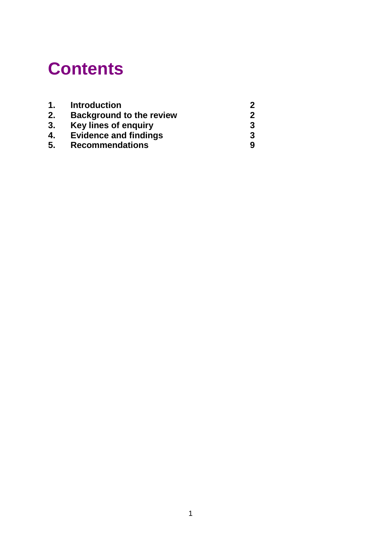# **Contents**

| 1. | <b>Introduction</b>             | 2 |
|----|---------------------------------|---|
| 2. | <b>Background to the review</b> | 2 |
| 3. | Key lines of enquiry            | 3 |
| 4. | <b>Evidence and findings</b>    | 3 |
| 5. | <b>Recommendations</b>          | 9 |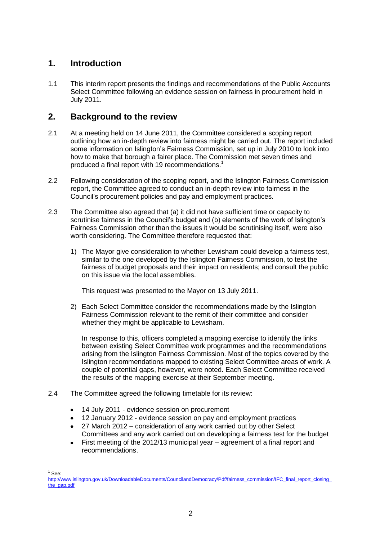## **1. Introduction**

1.1 This interim report presents the findings and recommendations of the Public Accounts Select Committee following an evidence session on fairness in procurement held in July 2011.

### **2. Background to the review**

- 2.1 At a meeting held on 14 June 2011, the Committee considered a scoping report outlining how an in-depth review into fairness might be carried out. The report included some information on Islington"s Fairness Commission, set up in July 2010 to look into how to make that borough a fairer place. The Commission met seven times and produced a final report with 19 recommendations.<sup>1</sup>
- 2.2 Following consideration of the scoping report, and the Islington Fairness Commission report, the Committee agreed to conduct an in-depth review into fairness in the Council"s procurement policies and pay and employment practices.
- 2.3 The Committee also agreed that (a) it did not have sufficient time or capacity to scrutinise fairness in the Council's budget and (b) elements of the work of Islington's Fairness Commission other than the issues it would be scrutinising itself, were also worth considering. The Committee therefore requested that:
	- 1) The Mayor give consideration to whether Lewisham could develop a fairness test, similar to the one developed by the Islington Fairness Commission, to test the fairness of budget proposals and their impact on residents; and consult the public on this issue via the local assemblies.

This request was presented to the Mayor on 13 July 2011.

2) Each Select Committee consider the recommendations made by the Islington Fairness Commission relevant to the remit of their committee and consider whether they might be applicable to Lewisham.

In response to this, officers completed a mapping exercise to identify the links between existing Select Committee work programmes and the recommendations arising from the Islington Fairness Commission. Most of the topics covered by the Islington recommendations mapped to existing Select Committee areas of work. A couple of potential gaps, however, were noted. Each Select Committee received the results of the mapping exercise at their September meeting.

- 2.4 The Committee agreed the following timetable for its review:
	- 14 July 2011 evidence session on procurement  $\bullet$
	- 12 January 2012 evidence session on pay and employment practices
	- 27 March 2012 consideration of any work carried out by other Select Committees and any work carried out on developing a fairness test for the budget
	- First meeting of the 2012/13 municipal year agreement of a final report and recommendations.

<sup>&</sup>lt;u>.</u> See:

http://www.islington.gov.uk/DownloadableDocuments/CouncilandDemocracy/Pdf/fairness\_commission/IFC\_final\_report\_closing [the\\_gap.pdf](http://www.islington.gov.uk/DownloadableDocuments/CouncilandDemocracy/Pdf/fairness_commission/IFC_final_report_closing_the_gap.pdf)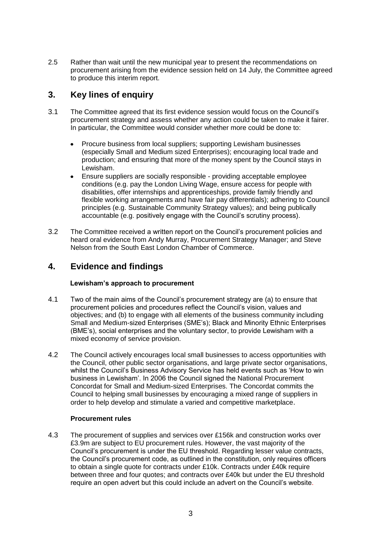2.5 Rather than wait until the new municipal year to present the recommendations on procurement arising from the evidence session held on 14 July, the Committee agreed to produce this interim report.

# **3. Key lines of enquiry**

- 3.1 The Committee agreed that its first evidence session would focus on the Council"s procurement strategy and assess whether any action could be taken to make it fairer. In particular, the Committee would consider whether more could be done to:
	- Procure business from local suppliers; supporting Lewisham businesses  $\bullet$ (especially Small and Medium sized Enterprises); encouraging local trade and production; and ensuring that more of the money spent by the Council stays in Lewisham.
	- Ensure suppliers are socially responsible providing acceptable employee conditions (e.g. pay the London Living Wage, ensure access for people with disabilities, offer internships and apprenticeships, provide family friendly and flexible working arrangements and have fair pay differentials); adhering to Council principles (e.g. Sustainable Community Strategy values); and being publically accountable (e.g. positively engage with the Council"s scrutiny process).
- 3.2 The Committee received a written report on the Council"s procurement policies and heard oral evidence from Andy Murray, Procurement Strategy Manager; and Steve Nelson from the South East London Chamber of Commerce.

## **4. Evidence and findings**

#### **Lewisham's approach to procurement**

- 4.1 Two of the main aims of the Council"s procurement strategy are (a) to ensure that procurement policies and procedures reflect the Council"s vision, values and objectives; and (b) to engage with all elements of the business community including Small and Medium-sized Enterprises (SME"s); Black and Minority Ethnic Enterprises (BME"s), social enterprises and the voluntary sector, to provide Lewisham with a mixed economy of service provision.
- 4.2 The Council actively encourages local small businesses to access opportunities with the Council, other public sector organisations, and large private sector organisations, whilst the Council"s Business Advisory Service has held events such as "How to win business in Lewisham". In 2006 the Council signed the [National Procurement](file:///C:/NR/rdonlyres/1DDF7CCB-FFCD-46EB-AECF-1880861288A8/0/SMEconcordatLBLVersion.pdf)  [Concordat for Small and Medium-sized Enterprises.](file:///C:/NR/rdonlyres/1DDF7CCB-FFCD-46EB-AECF-1880861288A8/0/SMEconcordatLBLVersion.pdf) The Concordat commits the Council to helping small businesses by encouraging a mixed range of suppliers in order to help develop and stimulate a varied and competitive marketplace.

#### **Procurement rules**

4.3 The procurement of supplies and services over £156k and construction works over £3.9m are subject to EU procurement rules. However, the vast majority of the Council"s procurement is under the EU threshold. Regarding lesser value contracts, the Council"s procurement code, as outlined in the constitution, only requires officers to obtain a single quote for contracts under £10k. Contracts under £40k require between three and four quotes; and contracts over £40k but under the EU threshold require an open advert but this could include an advert on the Council"s website.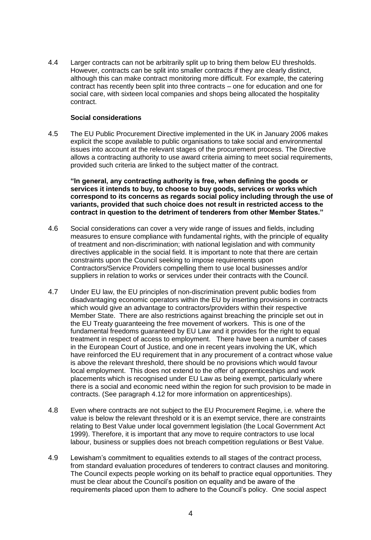4.4 Larger contracts can not be arbitrarily split up to bring them below EU thresholds. However, contracts can be split into smaller contracts if they are clearly distinct, although this can make contract monitoring more difficult. For example, the catering contract has recently been split into three contracts – one for education and one for social care, with sixteen local companies and shops being allocated the hospitality contract.

#### **Social considerations**

4.5 The EU Public Procurement Directive implemented in the UK in January 2006 makes explicit the scope available to public organisations to take social and environmental issues into account at the relevant stages of the procurement process. The Directive allows a contracting authority to use award criteria aiming to meet social requirements, provided such criteria are linked to the subject matter of the contract.

**"In general, any contracting authority is free, when defining the goods or services it intends to buy, to choose to buy goods, services or works which correspond to its concerns as regards social policy including through the use of variants, provided that such choice does not result in restricted access to the contract in question to the detriment of tenderers from other Member States."**

- 4.6 Social considerations can cover a very wide range of issues and fields, including measures to ensure compliance with fundamental rights, with the principle of equality of treatment and non-discrimination; with national legislation and with community directives applicable in the social field. It is important to note that there are certain constraints upon the Council seeking to impose requirements upon Contractors/Service Providers compelling them to use local businesses and/or suppliers in relation to works or services under their contracts with the Council.
- 4.7 Under EU law, the EU principles of non-discrimination prevent public bodies from disadvantaging economic operators within the EU by inserting provisions in contracts which would give an advantage to contractors/providers within their respective Member State. There are also restrictions against breaching the principle set out in the EU Treaty guaranteeing the free movement of workers. This is one of the fundamental freedoms guaranteed by EU Law and it provides for the right to equal treatment in respect of access to employment. There have been a number of cases in the European Court of Justice, and one in recent years involving the UK, which have reinforced the EU requirement that in any procurement of a contract whose value is above the relevant threshold, there should be no provisions which would favour local employment. This does not extend to the offer of apprenticeships and work placements which is recognised under EU Law as being exempt, particularly where there is a social and economic need within the region for such provision to be made in contracts. (See paragraph 4.12 for more information on apprenticeships).
- 4.8 Even where contracts are not subject to the EU Procurement Regime, i.e. where the value is below the relevant threshold or it is an exempt service, there are constraints relating to Best Value under local government legislation (the Local Government Act 1999). Therefore, it is important that any move to require contractors to use local labour, business or supplies does not breach competition regulations or Best Value.
- 4.9 Lewisham"s commitment to equalities extends to all stages of the contract process, from standard evaluation procedures of tenderers to contract clauses and monitoring. The Council expects people working on its behalf to practice equal opportunities. They must be clear about the Council"s position on equality and be aware of the requirements placed upon them to adhere to the Council"s policy. One social aspect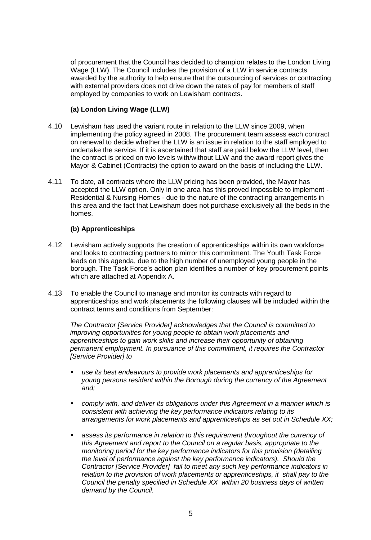of procurement that the Council has decided to champion relates to the London Living Wage (LLW). The Council includes the provision of a LLW in service contracts awarded by the authority to help ensure that the outsourcing of services or contracting with external providers does not drive down the rates of pay for members of staff employed by companies to work on Lewisham contracts.

#### **(a) London Living Wage (LLW)**

- 4.10 Lewisham has used the variant route in relation to the LLW since 2009, when implementing the policy agreed in 2008. The procurement team assess each contract on renewal to decide whether the LLW is an issue in relation to the staff employed to undertake the service. If it is ascertained that staff are paid below the LLW level, then the contract is priced on two levels with/without LLW and the award report gives the Mayor & Cabinet (Contracts) the option to award on the basis of including the LLW.
- 4.11 To date, all contracts where the LLW pricing has been provided, the Mayor has accepted the LLW option. Only in one area has this proved impossible to implement - Residential & Nursing Homes - due to the nature of the contracting arrangements in this area and the fact that Lewisham does not purchase exclusively all the beds in the homes.

#### **(b) Apprenticeships**

- 4.12 Lewisham actively supports the creation of apprenticeships within its own workforce and looks to contracting partners to mirror this commitment. The Youth Task Force leads on this agenda, due to the high number of unemployed young people in the borough. The Task Force"s action plan identifies a number of key procurement points which are attached at Appendix A.
- 4.13 To enable the Council to manage and monitor its contracts with regard to apprenticeships and work placements the following clauses will be included within the contract terms and conditions from September:

*The Contractor [Service Provider] acknowledges that the Council is committed to improving opportunities for young people to obtain work placements and apprenticeships to gain work skills and increase their opportunity of obtaining permanent employment. In pursuance of this commitment, it requires the Contractor [Service Provider] to* 

- *use its best endeavours to provide work placements and apprenticeships for young persons resident within the Borough during the currency of the Agreement and;*
- *comply with, and deliver its obligations under this Agreement in a manner which is consistent with achieving the key performance indicators relating to its arrangements for work placements and apprenticeships as set out in Schedule XX;*
- **assess its performance in relation to this requirement throughout the currency of** *this Agreement and report to the Council on a regular basis, appropriate to the monitoring period for the key performance indicators for this provision (detailing the level of performance against the key performance indicators). Should the Contractor [Service Provider] fail to meet any such key performance indicators in relation to the provision of work placements or apprenticeships, it shall pay to the Council the penalty specified in Schedule XX within 20 business days of written demand by the Council.*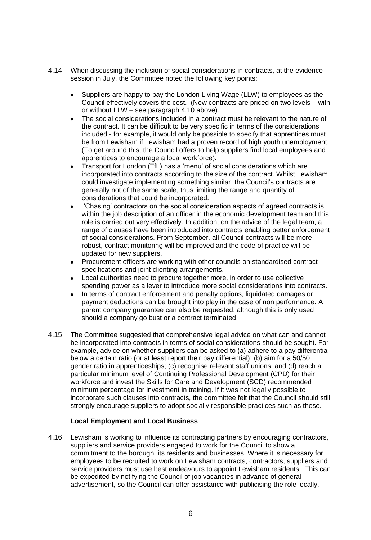- 4.14 When discussing the inclusion of social considerations in contracts, at the evidence session in July, the Committee noted the following key points:
	- Suppliers are happy to pay the London Living Wage (LLW) to employees as the  $\bullet$ Council effectively covers the cost. (New contracts are priced on two levels – with or without LLW – see paragraph 4.10 above).
	- The social considerations included in a contract must be relevant to the nature of the contract. It can be difficult to be very specific in terms of the considerations included - for example, it would only be possible to specify that apprentices must be from Lewisham if Lewisham had a proven record of high youth unemployment. (To get around this, the Council offers to help suppliers find local employees and apprentices to encourage a local workforce).
	- Transport for London (TfL) has a "menu" of social considerations which are incorporated into contracts according to the size of the contract. Whilst Lewisham could investigate implementing something similar, the Council"s contracts are generally not of the same scale, thus limiting the range and quantity of considerations that could be incorporated.
	- "Chasing" contractors on the social consideration aspects of agreed contracts is within the job description of an officer in the economic development team and this role is carried out very effectively. In addition, on the advice of the legal team, a range of clauses have been introduced into contracts enabling better enforcement of social considerations. From September, all Council contracts will be more robust, contract monitoring will be improved and the code of practice will be updated for new suppliers.
	- Procurement officers are working with other councils on standardised contract specifications and joint clienting arrangements.
	- Local authorities need to procure together more, in order to use collective spending power as a lever to introduce more social considerations into contracts.
	- In terms of contract enforcement and penalty options, liquidated damages or payment deductions can be brought into play in the case of non performance. A parent company guarantee can also be requested, although this is only used should a company go bust or a contract terminated.
- 4.15 The Committee suggested that comprehensive legal advice on what can and cannot be incorporated into contracts in terms of social considerations should be sought. For example, advice on whether suppliers can be asked to (a) adhere to a pay differential below a certain ratio (or at least report their pay differential); (b) aim for a 50/50 gender ratio in apprenticeships; (c) recognise relevant staff unions; and (d) reach a particular minimum level of Continuing Professional Development (CPD) for their workforce and invest the Skills for Care and Development (SCD) recommended minimum percentage for investment in training. If it was not legally possible to incorporate such clauses into contracts, the committee felt that the Council should still strongly encourage suppliers to adopt socially responsible practices such as these.

#### **Local Employment and Local Business**

4.16 Lewisham is working to influence its contracting partners by encouraging contractors, suppliers and service providers engaged to work for the Council to show a commitment to the borough, its residents and businesses. Where it is necessary for employees to be recruited to work on Lewisham contracts, contractors, suppliers and service providers must use best endeavours to appoint Lewisham residents. This can be expedited by notifying the Council of job vacancies in advance of general advertisement, so the Council can offer assistance with publicising the role locally.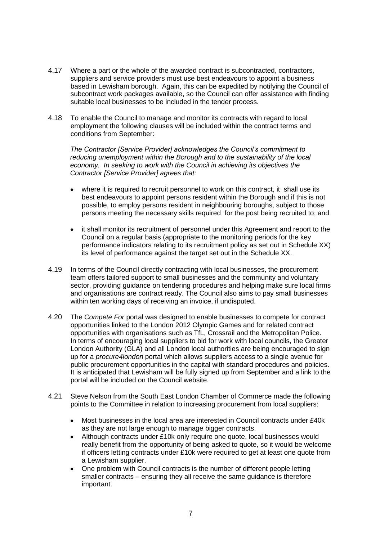- 4.17 Where a part or the whole of the awarded contract is subcontracted, contractors, suppliers and service providers must use best endeavours to appoint a business based in Lewisham borough. Again, this can be expedited by notifying the Council of subcontract work packages available, so the Council can offer assistance with finding suitable local businesses to be included in the tender process.
- 4.18 To enable the Council to manage and monitor its contracts with regard to local employment the following clauses will be included within the contract terms and conditions from September:

*The Contractor [Service Provider] acknowledges the Council's commitment to reducing unemployment within the Borough and to the sustainability of the local economy. In seeking to work with the Council in achieving its objectives the Contractor [Service Provider] agrees that:*

- where it is required to recruit personnel to work on this contract, it shall use its best endeavours to appoint persons resident within the Borough and if this is not possible, to employ persons resident in neighbouring boroughs, subject to those persons meeting the necessary skills required for the post being recruited to; and
- it shall monitor its recruitment of personnel under this Agreement and report to the Council on a regular basis (appropriate to the monitoring periods for the key performance indicators relating to its recruitment policy as set out in Schedule XX) its level of performance against the target set out in the Schedule XX.
- 4.19 In terms of the Council directly contracting with local businesses, the procurement team offers tailored support to small businesses and the community and voluntary sector, providing guidance on tendering procedures and helping make sure local firms and organisations are contract ready. The Council also aims to pay small businesses within ten working days of receiving an invoice, if undisputed.
- 4.20 The *Compete For* portal was designed to enable businesses to compete for contract opportunities linked to the London 2012 Olympic Games and for related contract opportunities with organisations such as TfL, Crossrail and the Metropolitan Police. In terms of encouraging local suppliers to bid for work with local councils, the Greater London Authority (GLA) and all London local authorities are being encouraged to sign up for a *procure4london* portal which allows suppliers access to a single avenue for public procurement opportunities in the capital with standard procedures and policies. It is anticipated that Lewisham will be fully signed up from September and a link to the portal will be included on the Council website.
- 4.21 Steve Nelson from the South East London Chamber of Commerce made the following points to the Committee in relation to increasing procurement from local suppliers:
	- Most businesses in the local area are interested in Council contracts under £40k as they are not large enough to manage bigger contracts.
	- Although contracts under £10k only require one quote, local businesses would really benefit from the opportunity of being asked to quote, so it would be welcome if officers letting contracts under £10k were required to get at least one quote from a Lewisham supplier.
	- One problem with Council contracts is the number of different people letting smaller contracts – ensuring they all receive the same guidance is therefore important.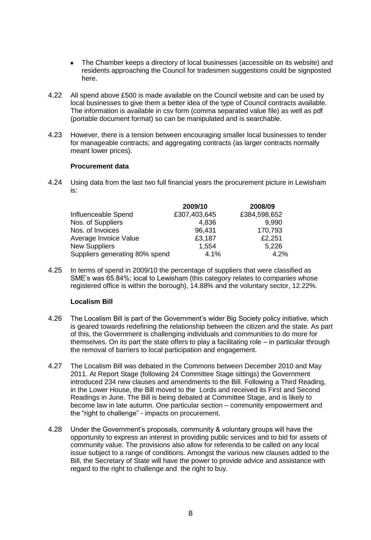- The Chamber keeps a directory of local businesses (accessible on its website) and residents approaching the Council for tradesmen suggestions could be signposted here.
- 4.22 All spend above £500 is made available on the Council website and can be used by local businesses to give them a better idea of the type of Council contracts available. The information is available in csv form (comma separated value file) as well as pdf (portable document format) so can be manipulated and is searchable.
- 4.23 However, there is a tension between encouraging smaller local businesses to tender for manageable contracts; and aggregating contracts (as larger contracts normally meant lower prices).

#### **Procurement data**

4.24 Using data from the last two full financial years the procurement picture in Lewisham is:

|                                | 2009/10      | 2008/09      |
|--------------------------------|--------------|--------------|
| Influenceable Spend            | £307,403,645 | £384,598,652 |
| Nos. of Suppliers              | 4,836        | 9,990        |
| Nos. of Invoices               | 96,431       | 170,793      |
| Average Invoice Value          | £3,187       | £2,251       |
| <b>New Suppliers</b>           | 1,554        | 5,226        |
| Suppliers generating 80% spend | 4.1%         | 4.2%         |

4.25 In terms of spend in 2009/10 the percentage of suppliers that were classified as SME's was 65.84%; local to Lewisham (this category relates to companies whose registered office is within the borough), 14.88% and the voluntary sector, 12.22%.

#### **Localism Bill**

- 4.26 The Localism Bill is part of the Government"s wider Big Society policy initiative, which is geared towards redefining the relationship between the citizen and the state. As part of this, the Government is challenging individuals and communities to do more for themselves. On its part the state offers to play a facilitating role – in particular through the removal of barriers to local participation and engagement.
- 4.27 The Localism Bill was debated in the Commons between December 2010 and May 2011. At Report Stage (following 24 Committee Stage sittings) the Government introduced 234 new clauses and amendments to the Bill. Following a Third Reading, in the Lower House, the Bill moved to the Lords and received its First and Second Readings in June. The Bill is being debated at Committee Stage, and is likely to become law in late autumn. One particular section – community empowerment and the "right to challenge" - impacts on procurement.
- 4.28 Under the Government"s proposals, community & voluntary groups will have the opportunity to express an interest in providing public services and to bid for assets of community value. The provisions also allow for referenda to be called on any local issue subject to a range of conditions. Amongst the various new clauses added to the Bill, the Secretary of State will have the power to provide advice and assistance with regard to the right to challenge and the right to buy.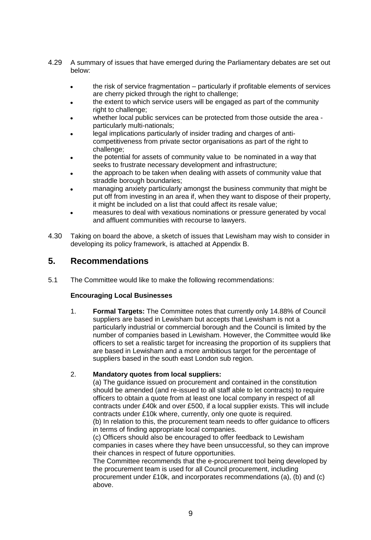- 4.29 A summary of issues that have emerged during the Parliamentary debates are set out below:
	- the risk of service fragmentation particularly if profitable elements of services  $\bullet$ are cherry picked through the right to challenge;
	- the extent to which service users will be engaged as part of the community right to challenge:
	- whether local public services can be protected from those outside the area particularly multi-nationals;
	- legal implications particularly of insider trading and charges of anticompetitiveness from private sector organisations as part of the right to challenge;
	- the potential for assets of community value to be nominated in a way that seeks to frustrate necessary development and infrastructure;
	- the approach to be taken when dealing with assets of community value that straddle borough boundaries;
	- managing anxiety particularly amongst the business community that might be put off from investing in an area if, when they want to dispose of their property, it might be included on a list that could affect its resale value;
	- measures to deal with vexatious nominations or pressure generated by vocal and affluent communities with recourse to lawyers.
- 4.30 Taking on board the above, a sketch of issues that Lewisham may wish to consider in developing its policy framework, is attached at Appendix B.

### **5. Recommendations**

5.1 The Committee would like to make the following recommendations:

#### **Encouraging Local Businesses**

1. **Formal Targets:** The Committee notes that currently only 14.88% of Council suppliers are based in Lewisham but accepts that Lewisham is not a particularly industrial or commercial borough and the Council is limited by the number of companies based in Lewisham. However, the Committee would like officers to set a realistic target for increasing the proportion of its suppliers that are based in Lewisham and a more ambitious target for the percentage of suppliers based in the south east London sub region.

#### 2. **Mandatory quotes from local suppliers:**

(a) The guidance issued on procurement and contained in the constitution should be amended (and re-issued to all staff able to let contracts) to require officers to obtain a quote from at least one local company in respect of all contracts under £40k and over £500, if a local supplier exists. This will include contracts under £10k where, currently, only one quote is required.

(b) In relation to this, the procurement team needs to offer guidance to officers in terms of finding appropriate local companies.

(c) Officers should also be encouraged to offer feedback to Lewisham companies in cases where they have been unsuccessful, so they can improve their chances in respect of future opportunities.

The Committee recommends that the e-procurement tool being developed by the procurement team is used for all Council procurement, including procurement under £10k, and incorporates recommendations (a), (b) and (c) above.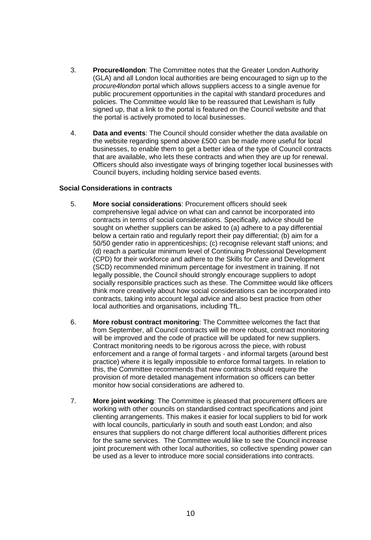- 3. **Procure4london**: The Committee notes that the Greater London Authority (GLA) and all London local authorities are being encouraged to sign up to the *procure4london* portal which allows suppliers access to a single avenue for public procurement opportunities in the capital with standard procedures and policies. The Committee would like to be reassured that Lewisham is fully signed up, that a link to the portal is featured on the Council website and that the portal is actively promoted to local businesses.
- 4. **Data and events**: The Council should consider whether the data available on the website regarding spend above £500 can be made more useful for local businesses, to enable them to get a better idea of the type of Council contracts that are available, who lets these contracts and when they are up for renewal. Officers should also investigate ways of bringing together local businesses with Council buyers, including holding service based events.

#### **Social Considerations in contracts**

- 5. **More social considerations**: Procurement officers should seek comprehensive legal advice on what can and cannot be incorporated into contracts in terms of social considerations. Specifically, advice should be sought on whether suppliers can be asked to (a) adhere to a pay differential below a certain ratio and regularly report their pay differential; (b) aim for a 50/50 gender ratio in apprenticeships; (c) recognise relevant staff unions; and (d) reach a particular minimum level of Continuing Professional Development (CPD) for their workforce and adhere to the Skills for Care and Development (SCD) recommended minimum percentage for investment in training. If not legally possible, the Council should strongly encourage suppliers to adopt socially responsible practices such as these. The Committee would like officers think more creatively about how social considerations can be incorporated into contracts, taking into account legal advice and also best practice from other local authorities and organisations, including TfL.
- 6. **More robust contract monitoring**: The Committee welcomes the fact that from September, all Council contracts will be more robust, contract monitoring will be improved and the code of practice will be updated for new suppliers. Contract monitoring needs to be rigorous across the piece, with robust enforcement and a range of formal targets - and informal targets (around best practice) where it is legally impossible to enforce formal targets. In relation to this, the Committee recommends that new contracts should require the provision of more detailed management information so officers can better monitor how social considerations are adhered to.
- 7. **More joint working**: The Committee is pleased that procurement officers are working with other councils on standardised contract specifications and joint clienting arrangements. This makes it easier for local suppliers to bid for work with local councils, particularly in south and south east London; and also ensures that suppliers do not charge different local authorities different prices for the same services. The Committee would like to see the Council increase joint procurement with other local authorities, so collective spending power can be used as a lever to introduce more social considerations into contracts.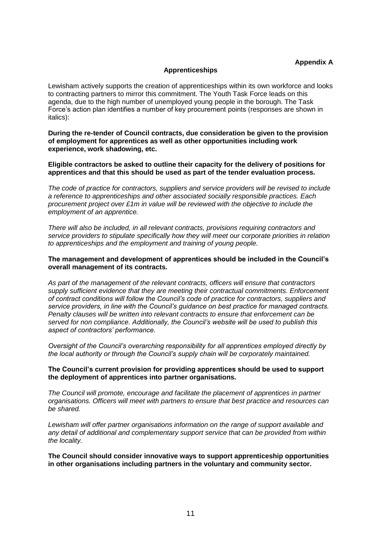#### **Apprenticeships**

Lewisham actively supports the creation of apprenticeships within its own workforce and looks to contracting partners to mirror this commitment. The Youth Task Force leads on this agenda, due to the high number of unemployed young people in the borough. The Task Force"s action plan identifies a number of key procurement points (responses are shown in italics):

**During the re-tender of Council contracts, due consideration be given to the provision of employment for apprentices as well as other opportunities including work experience, work shadowing, etc.**

**Eligible contractors be asked to outline their capacity for the delivery of positions for apprentices and that this should be used as part of the tender evaluation process.**

*The code of practice for contractors, suppliers and service providers will be revised to include a reference to apprenticeships and other associated socially responsible practices. Each procurement project over £1m in value will be reviewed with the objective to include the employment of an apprentice.*

*There will also be included, in all relevant contracts, provisions requiring contractors and service providers to stipulate specifically how they will meet our corporate priorities in relation to apprenticeships and the employment and training of young people.*

#### **The management and development of apprentices should be included in the Council's overall management of its contracts.**

*As part of the management of the relevant contracts, officers will ensure that contractors supply sufficient evidence that they are meeting their contractual commitments. Enforcement of contract conditions will follow the Council's code of practice for contractors, suppliers and service providers, in line with the Council's guidance on best practice for managed contracts. Penalty clauses will be written into relevant contracts to ensure that enforcement can be served for non compliance. Additionally, the Council's website will be used to publish this aspect of contractors' performance.*

*Oversight of the Council's overarching responsibility for all apprentices employed directly by the local authority or through the Council's supply chain will be corporately maintained.* 

#### **The Council's current provision for providing apprentices should be used to support the deployment of apprentices into partner organisations.**

*The Council will promote, encourage and facilitate the placement of apprentices in partner organisations. Officers will meet with partners to ensure that best practice and resources can be shared.*

*Lewisham will offer partner organisations information on the range of support available and any detail of additional and complementary support service that can be provided from within the locality.*

**The Council should consider innovative ways to support apprenticeship opportunities in other organisations including partners in the voluntary and community sector.**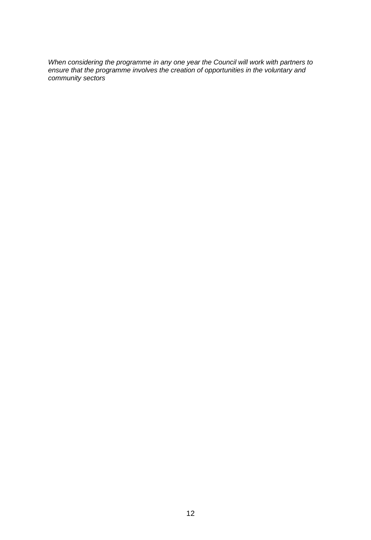*When considering the programme in any one year the Council will work with partners to ensure that the programme involves the creation of opportunities in the voluntary and community sectors*